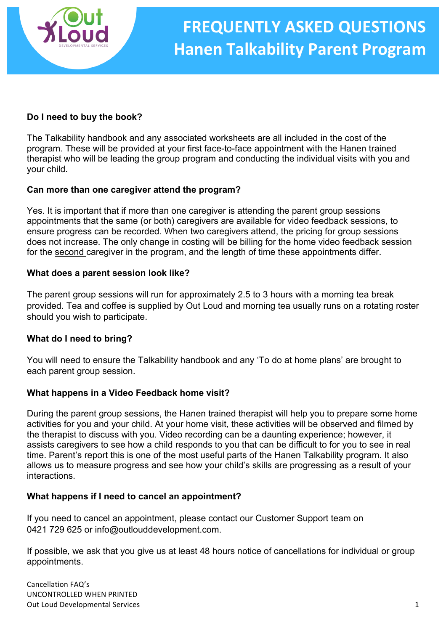

### **Do I need to buy the book?**

The Talkability handbook and any associated worksheets are all included in the cost of the program. These will be provided at your first face-to-face appointment with the Hanen trained therapist who will be leading the group program and conducting the individual visits with you and your child.

### **Can more than one caregiver attend the program?**

Yes. It is important that if more than one caregiver is attending the parent group sessions appointments that the same (or both) caregivers are available for video feedback sessions, to ensure progress can be recorded. When two caregivers attend, the pricing for group sessions does not increase. The only change in costing will be billing for the home video feedback session for the second caregiver in the program, and the length of time these appointments differ.

### **What does a parent session look like?**

The parent group sessions will run for approximately 2.5 to 3 hours with a morning tea break provided. Tea and coffee is supplied by Out Loud and morning tea usually runs on a rotating roster should you wish to participate.

### **What do I need to bring?**

You will need to ensure the Talkability handbook and any 'To do at home plans' are brought to each parent group session.

### **What happens in a Video Feedback home visit?**

During the parent group sessions, the Hanen trained therapist will help you to prepare some home activities for you and your child. At your home visit, these activities will be observed and filmed by the therapist to discuss with you. Video recording can be a daunting experience; however, it assists caregivers to see how a child responds to you that can be difficult to for you to see in real time. Parent's report this is one of the most useful parts of the Hanen Talkability program. It also allows us to measure progress and see how your child's skills are progressing as a result of your interactions.

### **What happens if I need to cancel an appointment?**

If you need to cancel an appointment, please contact our Customer Support team on 0421 729 625 or info@outlouddevelopment.com.

If possible, we ask that you give us at least 48 hours notice of cancellations for individual or group appointments.

Cancellation FAQ's UNCONTROLLED WHEN PRINTED Out Loud Developmental Services **by a strategie of the Contract Contract Contract Contract Contract Contract Contract Contract Contract Contract Contract Contract Contract Contract Contract Contract Contract Contract Contr**